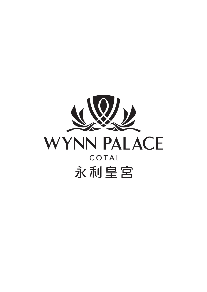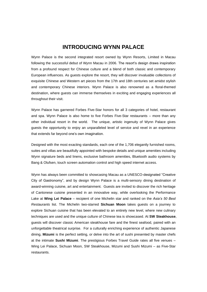## **INTRODUCING WYNN PALACE**

Wynn Palace is the second integrated resort owned by Wynn Resorts, Limited in Macau following the successful debut of Wynn Macau in 2006. The resort's design draws inspiration from a profound respect for Chinese culture and a blend of both classic and contemporary European influences. As guests explore the resort, they will discover invaluable collections of exquisite Chinese and Western art pieces from the 17th and 18th centuries set amidst stylish and contemporary Chinese interiors. Wynn Palace is also renowned as a floral-themed destination, where guests can immerse themselves in exciting and engaging experiences all throughout their visit.

Wynn Palace has garnered Forbes Five-Star honors for all 3 categories of hotel, restaurant and spa. Wynn Palace is also home to five Forbes Five-Star restaurants – more than any other individual resort in the world. The unique, artistic ingenuity of Wynn Palace gives guests the opportunity to enjoy an unparalleled level of service and revel in an experience that extends far beyond one's own imagination.

Designed with the most exacting standards, each one of the 1,706 elegantly furnished rooms, suites and villas are beautifully appointed with bespoke details and unique amenities including Wynn signature beds and linens, exclusive bathroom amenities, Bluetooth audio systems by Bang & Olufsen, touch screen automation control and high speed internet access.

Wynn has always been committed to showcasing Macau as a UNESCO-designated "Creative City of Gastronomy", and by design Wynn Palace is a multi-sensory dining destination of award-winning cuisine, art and entertainment. Guests are invited to discover the rich heritage of Cantonese cuisine presented in an innovative way, while overlooking the Performance Lake at **Wing Lei Palace** – recipient of one Michelin star and ranked on the *Asia's 50 Best Restaurants* list. The Michelin two-starred **Sichuan Moon** takes guests on a journey to explore Sichuan cuisine that has been elevated to an entirely new level, where new culinary techniques are used and the unique culture of Chinese tea is showcased. At **SW Steakhouse**, guests will discover classic American steakhouse fare and the finest seafood, paired with an unforgettable theatrical surprise. For a culturally enriching experience of authentic Japanese dining, **Mizumi** is the perfect setting, or delve into the art of sushi presented by master chefs at the intimate **Sushi Mizumi**. The prestigious Forbes Travel Guide rates all five venues – Wing Lei Palace, Sichuan Moon, SW Steakhouse, Mizumi and Sushi Mizumi – as Five-Star restaurants.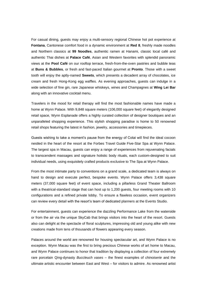For casual dining, guests may enjoy a multi-sensory regional Chinese hot pot experience at **Fontana**, Cantonese comfort food in a dynamic environment at **Red 8**, freshly made noodles and Northern classics at **99 Noodles**, authentic ramen at Hanami, classic local café and authentic Thai dishes at **Palace Café**, Asian and Western favorites with splendid panoramic views at the **Pool Café** on our rooftop terrace, fresh-from-the-oven pastries and bubble teas at **Buns & Bubbles**, or fresh and fast-paced Italian gourmet at **Pronto**. Those with a sweet tooth will enjoy the aptly-named **Sweets**, which presents a decadent array of chocolates, ice cream and fresh Hong-Kong egg waffles. As evening approaches, guests can indulge in a wide selection of fine gin, rare Japanese whiskeys, wines and Champagnes at **Wing Lei Bar** along with an innovative cocktail menu.

Travelers in the mood for retail therapy will find the most fashionable names have made a home at Wynn Palace. With 9,848 square meters (106,000 square feet) of elegantly designed retail space, Wynn Esplanade offers a highly curated collection of designer boutiques and an unparalleled shopping experience. This stylish shopping paradise is home to 50 renowned retail shops featuring the latest in fashion, jewelry, accessories and timepieces.

Guests wishing to take a moment's pause from the energy of Cotai will find the ideal cocoon nestled in the heart of the resort at the Forbes Travel Guide Five-Star Spa at Wynn Palace. The largest spa in Macau, guests can enjoy a range of experiences from rejuvenating facials to transcendent massages and signature holistic body rituals, each custom-designed to suit individual needs, using exquisitely crafted products exclusive to The Spa at Wynn Palace.

From the most intimate party to conventions on a grand scale, a dedicated team is always on hand to design and execute perfect, bespoke events. Wynn Palace offers 3,438 square meters (37,000 square feet) of event space, including a pillarless Grand Theater Ballroom with a theatrical-standard stage that can host up to 1,200 guests, four meeting rooms with 10 configurations and a refined private lobby. To ensure a flawless occasion, event organizers can review every detail with the resort's team of dedicated planners at the Events Studio.

For entertainment, guests can experience the dazzling Performance Lake from the waterside or from the air via the unique SkyCab that brings visitors into the heart of the resort. Guests also can delight at the spectacle of floral sculptures, impressing old and young alike with new creations made from tens of thousands of flowers appearing every season.

Palaces around the world are renowned for housing spectacular art, and Wynn Palace is no exception. Wynn Macau was the first to bring precious Chinese works of art home to Macau, and Wynn Palace continues to honor that tradition by displaying a collection of four extremely rare porcelain Qing-dynasty *Buccleuch vases* – the finest examples of *chinoiserie* and the ultimate artistic encounter between East and West – for visitors to admire. As renowned artist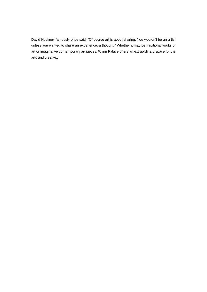David Hockney famously once said: "Of course art is about sharing. You wouldn't be an artist unless you wanted to share an experience, a thought." Whether it may be traditional works of art or imaginative contemporary art pieces, Wynn Palace offers an extraordinary space for the arts and creativity.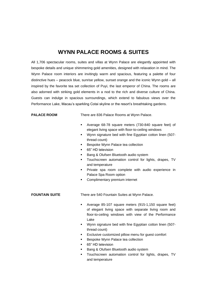# **WYNN PALACE ROOMS & SUITES**

All 1,706 spectacular rooms, suites and villas at Wynn Palace are elegantly appointed with bespoke details and unique shimmering gold amenities, designed with relaxation in mind. The Wynn Palace room interiors are invitingly warm and spacious, featuring a palette of four distinctive hues – peacock blue, sunrise yellow, sunset orange and the iconic Wynn gold – all inspired by the favorite tea set collection of Puyi, the last emperor of China. The rooms are also adorned with striking gold elements in a nod to the rich and diverse culture of China. Guests can indulge in spacious surroundings, which extend to fabulous views over the Performance Lake, Macau's sparkling Cotai skyline or the resort's breathtaking gardens.

**PALACE ROOM** There are 836 Palace Rooms at Wynn Palace.

- Average 68-78 square meters (730-840 square feet) of elegant living space with floor-to-ceiling windows
- Wynn signature bed with fine Egyptian cotton linen (507 thread count)
- Bespoke Wynn Palace tea collection
- 65" HD television
- Bang & Olufsen Bluetooth audio system
- Touchscreen automation control for lights, drapes, TV and temperature
- Private spa room complete with audio experience in Palace Spa Room option
- Complimentary premium internet

**FOUNTAIN SUITE** There are 540 Fountain Suites at Wynn Palace.

- Average 85-107 square meters (915-1,150 square feet) of elegant living space with separate living room and floor-to-ceiling windows with view of the Performance Lake
- Wynn signature bed with fine Egyptian cotton linen (507 thread count)
- Exclusive customized pillow menu for guest comfort
- Bespoke Wynn Palace tea collection
- 65" HD television
- Bang & Olufsen Bluetooth audio system
- Touchscreen automation control for lights, drapes, TV and temperature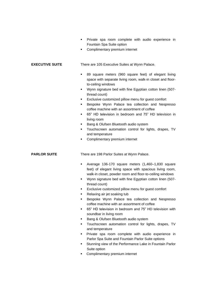- Private spa room complete with audio experience in Fountain Spa Suite option
- Complimentary premium internet

**EXECUTIVE SUITE** There are 105 Executive Suites at Wynn Palace.

- 89 square meters (960 square feet) of elegant living space with separate living room, walk-in closet and floorto-ceiling windows
- Wynn signature bed with fine Egyptian cotton linen (507 thread count)
- **Exclusive customized pillow menu for guest comfort**
- **E** Bespoke Wynn Palace tea collection and Nespresso coffee machine with an assortment of coffee
- 65" HD television in bedroom and 75" HD television in living room
- Bang & Olufsen Bluetooth audio system
- Touchscreen automation control for lights, drapes, TV and temperature
- Complimentary premium internet

**PARLOR SUITE** There are 198 Parlor Suites at Wynn Palace.

- Average 136-170 square meters (1,460–1,830 square feet) of elegant living space with spacious living room, walk-in closet, powder room and floor-to-ceiling windows
- Wynn signature bed with fine Egyptian cotton linen (507 thread count)
- **Exclusive customized pillow menu for guest comfort**
- Relaxing air jet soaking tub
- **E** Bespoke Wynn Palace tea collection and Nespresso coffee machine with an assortment of coffee
- 65" HD television in bedroom and 75" HD television with soundbar in living room
- Bang & Olufsen Bluetooth audio system
- Touchscreen automation control for lights, drapes, TV and temperature
- Private spa room complete with audio experience in Parlor Spa Suite and Fountain Parlor Suite options
- **EXECT** Stunning view of the Performance Lake in Fountain Parlor Suite option
- Complimentary premium internet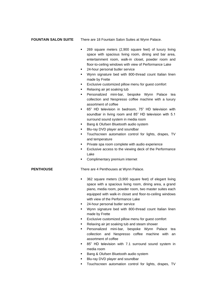**FOUNTAIN SALON SUITE** There are 18 Fountain Salon Suites at Wynn Palace.

- 269 square meters (2,900 square feet) of luxury living space with spacious living room, dining and bar area, entertainment room, walk-in closet, powder room and floor-to-ceiling windows with view of Performance Lake
- 24-hour personal butler service
- Wynn signature bed with 800-thread count Italian linen made by Frette
- Exclusive customized pillow menu for guest comfort
- Relaxing air jet soaking tub
- Personalized mini-bar, bespoke Wynn Palace tea collection and Nespresso coffee machine with a luxury assortment of coffee
- 65" HD television in bedroom, 75" HD television with soundbar in living room and 85" HD television with 5.1 surround sound system in media room
- Bang & Olufsen Bluetooth audio system
- Blu-ray DVD player and soundbar
- **·** Touchscreen automation control for lights, drapes, TV and temperature
- **•** Private spa room complete with audio experience
- **Exclusive access to the viewing deck of the Performance** Lake
- Complimentary premium internet

**PENTHOUSE** There are 4 Penthouses at Wynn Palace.

- 362 square meters (3,900 square feet) of elegant living space with a spacious living room, dining area, a grand piano, media room, powder room, two master suites each equipped with walk-in closet and floor-to-ceiling windows with view of the Performance Lake
- 24-hour personal butler service
- Wynn signature bed with 800-thread count Italian linen made by Frette
- Exclusive customized pillow menu for guest comfort
- Relaxing air jet soaking tub and steam shower
- Personalized mini-bar, bespoke Wynn Palace tea collection and Nespresso coffee machine with an assortment of coffee
- 85" HD television with 7.1 surround sound system in media room
- Bang & Olufsen Bluetooth audio system
- Blu-ray DVD player and soundbar
- **·** Touchscreen automation control for lights, drapes, TV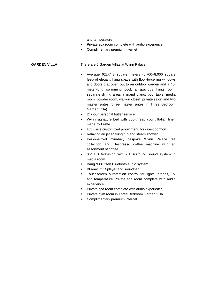and temperature

- **·** Private spa room complete with audio experience
- Complimentary premium internet

**GARDEN VILLA** There are 5 Garden Villas at Wynn Palace.

- Average 622-743 square meters (6,700–8,000 square feet) of elegant living space with floor-to-ceiling windows and doors that open out to an outdoor garden and a 45 meter-long swimming pool, a spacious living room, separate dining area, a grand piano, pool table, media room, powder room, walk-in closet, private salon and two master suites (three master suites in Three Bedroom Garden Villa)
- 24-hour personal butler service
- Wynn signature bed with 800-thread count Italian linen made by Frette
- Exclusive customized pillow menu for guest comfort
- Relaxing air jet soaking tub and steam shower
- Personalized mini-bar, bespoke Wynn Palace tea collection and Nespresso coffee machine with an assortment of coffee
- 85" HD television with 7.1 surround sound system in media room
- Bang & Olufsen Bluetooth audio system
- **■** Blu-ray DVD player and soundbar
- Touchscreen automation control for lights, drapes, TV and temperature Private spa room complete with audio experience
- **•** Private spa room complete with audio experience
- **Private gym room in Three Bedroom Garden Villa**
- Complimentary premium internet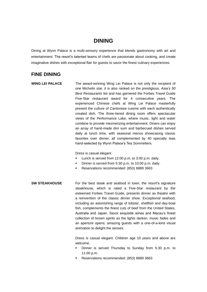# **DINING**

Dining at Wynn Palace is a multi-sensory experience that blends gastronomy with art and entertainment. The resort's talented teams of chefs are passionate about cooking, and create imaginative dishes with exceptional flair for guests to savor the finest culinary experiences.

## **FINE DINING**

**WING LEI PALACE** The award-winning Wing Lei Palace is not only the recipient of one Michelin star, it is also ranked on the prestigious, *Asia's 50 Best Restaurants* list and has garnered the Forbes Travel Guide Five-Star restaurant award for 4 consecutive years. The experienced Chinese chefs at Wing Lei Palace masterfully present the culture of Cantonese cuisine with each authentically created dish. The three-tiered dining room offers spectacular views of the Performance Lake, where music, light and water combine to provide mesmerizing entertainment. Diners can enjoy an array of hand-made dim sum and barbecued dishes served daily at lunch time, with seasonal menus showcasing classic favorites over dinner, all complemented by 40 specialty teas hand-selected by Wynn Palace's Tea Sommeliers.

Dress is casual elegant.

- Lunch is served from 12:00 p.m. to 3:00 p.m. daily.
- Dinner is served from 5:30 p.m. to 10:00 p.m. daily.
- Reservations recommended: (853) 8889 3663
- **SW STEAKHOUSE** For the best steak and seafood in town, the resort's signature steakhouse, which is rated a Five-Star restaurant by the esteemed Forbes Travel Guide, presents dinner as theatre with a reinvention of the classic dinner show. Exceptional seafood, including an astonishing range of lobster, shellfish and day-boat fish, complements the finest cuts of beef from the United States, Australia and Japan. Savor exquisite wines and Macau's finest collection of brown spirits as the lights darken, music fades and an aperture opens, amazing guests with a one-of-a-kind visual animation to delight the senses.

Dress is casual elegant. Children age 10 years and above are welcome.

- Dinner is served Thursday to Sunday from 5:30 p.m. to 11:00 p.m.
- Reservations recommended: (853) 8889 3663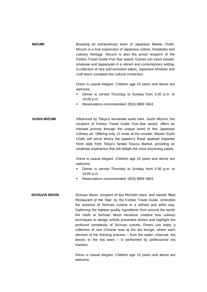| <b>MIZUMI</b> | Boasting an extraordinary team of Japanese Master Chefs,         |
|---------------|------------------------------------------------------------------|
|               | Mizumi is a true expression of Japanese culture, hospitality and |
|               | culinary heritage. Mizumi is also the proud recipient of the     |
|               | Forbes Travel Guide Five-Star award. Guests can savor kaiseki,   |
|               | omakase and teppanyaki in a vibrant and contemporary setting.    |
|               | A collection of rare and exclusive sakes, Japanese whiskies and  |
|               | craft beers complete this cultural immersion.                    |
|               |                                                                  |

Dress is casual elegant. Children age 10 years and above are welcome.

- Dinner is served Thursday to Sunday from 5:30 p.m. to 10:00 p.m.
- Reservations recommended: (853) 8889 3663
- **SUSHI MIZUMI Influenced by Tokyo's renowned sushi bars, Sushi Mizumi, the** recipient of Forbes Travel Guide Five-Star award, offers an intimate journey through the unique world of this Japanese culinary art. Offering only 12 seats at the counter, Master Sushi Chefs will serve diners the season's finest seafood imported fresh daily from Tokyo's famed Toyosu Market, providing an omakase experience that will delight the most discerning palate.

Dress is casual elegant. Children age 10 years and above are welcome.

- Dinner is served Thursday to Sunday from 5:30 p.m. to 10:00 p.m.
- Reservations recommended: (853) 8889 3663
- **SICHUAN MOON** Sichuan Moon, recipient of two Michelin stars, and named 'Best Restaurant of the Year' by the Forbes Travel Guide, embodies the essence of Sichuan cuisine in a refined and artful way. Gathering the highest quality ingredients from around the world, the chefs at Sichuan Moon introduce creative new culinary techniques to design artfully presented dishes and highlight the profound complexity of Sichuan cuisine. Diners can enjoy a collection of rare Chinese teas at the tea lounge, where each element of the brewing process – from the water, charcoal, tea leaves to the tea ware – is performed by professional tea masters.

Dress is casual elegant. Children age 10 years and above are welcome.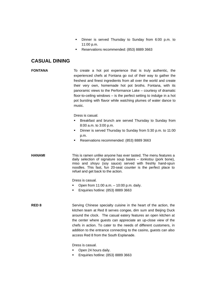- Dinner is served Thursday to Sunday from 6:00 p.m. to 11:00 p.m.
- Reservations recommended: (853) 8889 3663

## **CASUAL DINING**

**FONTANA** To create a hot pot experience that is truly authentic, the experienced chefs at Fontana go out of their way to gather the freshest and finest ingredients from all over the world and create their very own, homemade hot pot broths. Fontana, with its panoramic views to the Performance Lake – courtesy of dramatic floor-to-ceiling windows – is the perfect setting to indulge in a hot pot bursting with flavor while watching plumes of water dance to music.

Dress is casual.

- Breakfast and brunch are served Thursday to Sunday from 8:00 a.m. to 3:00 p.m.
- Dinner is served Thursday to Sunday from 5:30 p.m. to 11:00 p.m.
- Reservations recommended: (853) 8889 3663

**HANAMI** This is ramen unlike anyone has ever tasted. The menu features a daily selection of signature soup bases – *tonkotsu* (pork bone), miso and *shoyu* (soy sauce) served with freshly hand-spun noodles. This fast, fun 20-seat counter is the perfect place to refuel and get back to the action.

Dress is casual.

- Open from  $11:00$  a.m.  $-10:00$  p.m. daily.
- Enquiries hotline: (853) 8889 3663

**RED 8** Serving Chinese specialty cuisine in the heart of the action, the kitchen team at Red 8 serves congee, dim sum and Beijing Duck around the clock. The casual eatery features an open kitchen at the center where guests can appreciate an up-close view of the chefs in action. To cater to the needs of different customers, in addition to the entrance connecting to the casino, guests can also access Red 8 from the South Esplanade.

Dress is casual.

- Open 24 hours daily.
- Enquiries hotline: (853) 8889 3663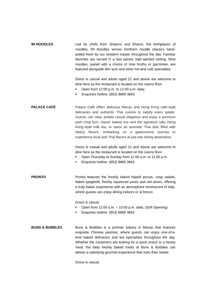| <b>99 NOODLES</b> | Led by chefs from Shaanxi and Shanxi, the birthplaces of<br>noodles, 99 Noodles serves Northern noodle classics hand- |
|-------------------|-----------------------------------------------------------------------------------------------------------------------|
|                   | pulled fresh by our resident master throughout the day. Familiar                                                      |
|                   | favorites are served in a fast paced, high-spirited setting. Nine                                                     |
|                   | noodles, paired with a choice of nine broths or garnishes, are                                                        |
|                   | featured alongside dim sum and other hot and cold specialties.                                                        |
|                   |                                                                                                                       |

Dress is casual and adults aged 21 and above are welcome to dine here as the restaurant is located on the casino floor.

- Open from 12:00 p.m. to 12:00 a.m. daily.
- Enquiries hotline: (853) 8889 3663

**PALACE CAFÉ** Palace Café offers delicious Macau and Hong Kong café-style delicacies and authentic Thai cuisine to satisfy every palate. Guests can relax amidst casual elegance and enjoy a premium pork chop bun, classic baked rice and the signature silky Hong Kong-style milk tea, or savor an aromatic Thai dish filled with hearty flavors, embarking on a gastronomic journey to experience local and Thai flavors at just one dining destination.

> Dress is casual and adults aged 21 and above are welcome to dine here as the restaurant is located on the casino floor.

■ Open Thursday to Sunday from 11:00 a.m. to 11:00 p.m.

■ Enquiries hotline: (853) 8889 3663

**PRONTO** Pronto features the freshly baked Napoli pizzas, crisp salads, Italian spaghetti, freshly squeezed juices and red wines, offering a truly Italian experience with an atmosphere reminiscent of Italy, where guests can enjoy dining indoors or al fresco.

Dress is casual.

- Open from 11:00 a.m. 10:00 p.m. daily. (Soft Opening)
- Enquiries hotline: (853) 8889 3663
- **BUNS & BUBBLES** Buns & Bubbles is a premier bakery in Macau that features exquisite Chinese pastries, where guests can enjoy one-of-akind baked delicacies and tea specialties throughout the day. Whether the customers are looking for a quick snack or a hearty meal, the daily freshly baked treats at Buns & Bubbles can deliver a satisfying gourmet experience that suits their needs.

Dress is casual.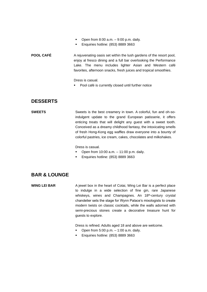- **•** Open from  $8:00$  a.m.  $-9:00$  p.m. daily.
- Enquiries hotline: (853) 8889 3663

**POOL CAFÉ** A rejuvenating oasis set within the lush gardens of the resort pool, enjoy al fresco dining and a full bar overlooking the Performance Lake. The menu includes lighter Asian and Western café favorites, afternoon snacks, fresh juices and tropical smoothies.

Dress is casual.

Pool café is currently closed until further notice

## **DESSERTS**

**SWEETS** Sweets is the best creamery in town. A colorful, fun and oh-soindulgent update to the grand European patisserie, it offers enticing treats that will delight any guest with a sweet tooth. Conceived as a dreamy childhood fantasy, the intoxicating smells of fresh Hong-Kong egg waffles draw everyone into a bounty of colorful pastries, ice cream, cakes, chocolates and milkshakes.

Dress is casual.

- Open from 10:00 a.m. 11:00 p.m. daily.
- Enquiries hotline: (853) 8889 3663

## **BAR & LOUNGE**

**WING LEI BAR** A jewel box in the heart of Cotai, Wing Lei Bar is a perfect place to indulge in a wide selection of fine gin, rare Japanese whiskeys, wines and Champagnes. An 18<sup>th</sup>-century crystal chandelier sets the stage for Wynn Palace's mixologists to create modern twists on classic cocktails, while the walls adorned with semi-precious stones create a decorative treasure hunt for guests to explore.

Dress is refined. Adults aged 18 and above are welcome.

- **•** Open from  $5:00$  p.m.  $-1:00$  a.m. daily.
- Enquiries hotline: (853) 8889 3663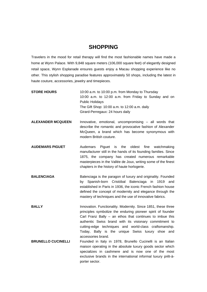# **SHOPPING**

Travelers in the mood for retail therapy will find the most fashionable names have made a home at Wynn Palace. With 9,848 square meters (106,000 square feet) of elegantly designed retail space, Wynn Esplanade ensures guests enjoy a Macau shopping experience like no other. This stylish shopping paradise features approximately 50 shops, including the latest in haute couture, accessories, jewelry and timepieces.

| <b>STORE HOURS</b>        | 10:00 a.m. to 10:00 p.m. from Monday to Thursday<br>10:00 a.m. to 12:00 a.m. from Friday to Sunday and on<br><b>Public Holidays</b><br>The Gift Shop: 10:00 a.m. to 12:00 a.m. daily<br>Girard-Perregaux: 24 hours daily                                                                                                                                                               |
|---------------------------|----------------------------------------------------------------------------------------------------------------------------------------------------------------------------------------------------------------------------------------------------------------------------------------------------------------------------------------------------------------------------------------|
| <b>ALEXANDER MCQUEEN</b>  | Innovative, emotional, uncompromising - all words that<br>describe the romantic and provocative fashion of Alexander<br>McQueen, a brand which has become synonymous with<br>modern British couture.                                                                                                                                                                                   |
| <b>AUDEMARS PIGUET</b>    | Audemars<br>Piguet<br>the<br>oldest<br>fine<br>watchmaking<br>is<br>manufacturer still in the hands of its founding families. Since<br>1875, the company has created numerous remarkable<br>masterpieces in the Vallée de Joux, writing some of the finest<br>chapters in the history of haute horlogerie.                                                                             |
| <b>BALENCIAGA</b>         | Balenciaga is the paragon of luxury and originality. Founded<br>by Spanish-born Cristóbal Balenciaga in<br>1919<br>and<br>established in Paris in 1936, the iconic French fashion house<br>defined the concept of modernity and elegance through the<br>mastery of techniques and the use of innovative fabrics.                                                                       |
| <b>BALLY</b>              | Innovation. Functionality. Modernity. Since 1851, these three<br>principles symbolize the enduring pioneer spirit of founder<br>Carl Franz Bally - an ethos that continues to imbue this<br>authentic Swiss brand with its visionary commitment to<br>cutting-edge techniques and world-class craftsmanship.<br>Today, Bally is the unique Swiss luxury shoe and<br>accessories brand. |
| <b>BRUNELLO CUCINELLI</b> | Founded in Italy in 1978, Brunello Cucinelli is an Italian<br>maison operating in the absolute luxury goods sector which<br>specializes in cashmere and is now one of the most<br>exclusive brands in the international informal luxury prêt-à-<br>porter sector.                                                                                                                      |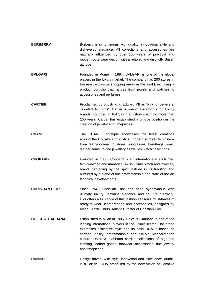| <b>BURBERRY</b>            | Burberry is synonymous with quality, innovation, style and<br>disheveled elegance. All collections and accessories are<br>naturally influenced by over 150 years of practical and<br>modern outerwear design with a relaxed and distinctly British<br>attitude.                                                                                                                                         |
|----------------------------|---------------------------------------------------------------------------------------------------------------------------------------------------------------------------------------------------------------------------------------------------------------------------------------------------------------------------------------------------------------------------------------------------------|
| <b>BVLGARI</b>             | Founded in Rome in 1884, BVLGARI is one of the global<br>players in the luxury market. The company has 200 stores in<br>the most exclusive shopping areas in the world, including a<br>product portfolio that ranges from jewels and watches to<br>accessories and perfumes.                                                                                                                            |
| <b>CARTIER</b>             | Proclaimed by British King Edward VII as "King of Jewelers,<br>Jewelers to Kings", Cartier is one of the world's top luxury<br>brands. Founded in 1847, with a history spanning more than<br>160 years, Cartier has established a unique position in the<br>creation of jewelry and timepieces.                                                                                                         |
| <b>CHANEL</b>              | The CHANEL boutique showcases the latest creations<br>around the House's iconic style, modern and yet feminine -<br>from ready-to-wear to shoes, sunglasses, handbags, small<br>leather items, to fine jewellery as well as watch collections.                                                                                                                                                          |
| <b>CHOPARD</b>             | Founded in 1860, Chopard is an internationally acclaimed<br>family-owned and managed Swiss luxury watch and jewellery<br>brand, pervading by the spirit instilled in its tradition and<br>nurtured by a blend of fine craftsmanship and state-of-the-art<br>technical developments.                                                                                                                     |
| <b>CHRISTIAN DIOR</b>      | Since 1947, Christian Dior has been synonymous with<br>ultimate luxury, feminine elegance and couture creativity.<br>Dior offers a full range of this fashion season's must-haves of<br>ready-to-wear, leathergoods and accessories, designed by<br>Maria Grazia Chiuri, Artistic Director of Christian Dior.                                                                                           |
| <b>DOLCE &amp; GABBANA</b> | Established in Milan in 1985, Dolce & Gabbana is one of the<br>leading international players in the luxury sector. The brand<br>expresses distinctive style and its solid DNA is based on<br>sartorial ability, craftsmanship and Sicily's Mediterranean<br>culture. Dolce & Gabbana carries collections of high-end<br>clothing, leather goods, footwear, accessories, fine jewelry<br>and timepieces. |
| <b>DUNHILL</b>             | Design driven, with style, innovation and excellence, dunhill<br>is a British luxury brand led by the new vision of Creative                                                                                                                                                                                                                                                                            |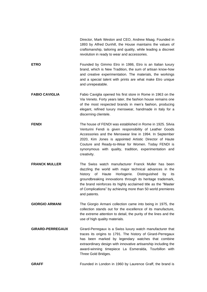Director, Mark Weston and CEO, Andrew Maag. Founded in 1893 by Alfred Dunhill, the House maintains the values of craftsmanship, tailoring and quality, while leading a discreet revolution in ready to wear and accessories.

- **ETRO** Founded by Gimmo Etro in 1986, Etro is an Italian luxury brand, which is New Tradition, the sum of artisan know-how and creative experimentation. The materials, the workings and a special talent with prints are what make Etro unique and unrepeatable.
- **FABIO CAVIGLIA** Fabio Caviglia opened his first store in Rome in 1963 on the Via Veneto. Forty years later, the fashion house remains one of the most respected brands in men's fashion, producing elegant, refined luxury menswear, handmade in Italy for a discerning clientele.
- **FENDI** The house of FENDI was established in Rome in 1925. Silvia Venturini Fendi is given responsibility of Leather Goods Accessories and the Menswear line in 1994. In September 2020, Kim Jones is appointed Artistic Director of Haute Couture and Ready-to-Wear for Women. Today FENDI is synonymous with quality, tradition, experimentation and creativity.
- **FRANCK MULLER** The Swiss watch manufacturer Franck Muller has been dazzling the world with major technical advances in the history of Haute Horlogerie. Distinguished by its groundbreaking innovations through its heritage trademark, the brand reinforces its highly acclaimed title as the "Master of Complications" by achieving more than 50 world premieres and patents.
- **GIORGIO ARMANI** The Giorgio Armani collection came into being in 1975, the collection stands out for the excellence of its manufacture, the extreme attention to detail, the purity of the lines and the use of high quality materials.
- **GIRARD-PERREGAUX** Girard-Perregaux is a Swiss luxury watch manufacturer that traces its origins to 1791. The history of Girard-Perregaux has been marked by legendary watches that combine extraordinary design with innovative artisanship including the award-winning timepiece La Esmeralda, Tourbillon with Three Gold Bridges.
- **GRAFF** Founded in London in 1960 by Laurence Graff, the brand is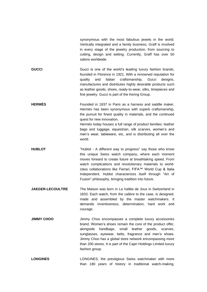|                         | synonymous with the most fabulous jewels in the world.<br>Vertically integrated and a family business, Graff is involved<br>in every stage of the jewelry production, from sourcing to<br>cutting, design and setting. Currently, Graff has over 50<br>salons worldwide.                                                                                                                                                     |
|-------------------------|------------------------------------------------------------------------------------------------------------------------------------------------------------------------------------------------------------------------------------------------------------------------------------------------------------------------------------------------------------------------------------------------------------------------------|
| <b>GUCCI</b>            | Gucci is one of the world's leading luxury fashion brands,<br>founded in Florence in 1921. With a renowned reputation for<br>Italian craftsmanship, Gucci<br>quality<br>and<br>designs,<br>manufactures and distributes highly desirable products such<br>as leather goods, shoes, ready-to-wear, silks, timepieces and<br>fine jewelry. Gucci is part of the Kering Group.                                                  |
| <b>HERMÈS</b>           | Founded in 1837 in Paris as a harness and saddle maker,<br>Hermès has been synonymous with superb craftsmanship,<br>the pursuit for finest quality in materials, and the continued<br>quest for new innovation.<br>Hermès today houses a full range of product families: leather<br>bags and luggage, equestrian, silk scarves, women's and<br>men's wear, tableware, etc, and is distributing all over the<br>world.        |
| <b>HUBLOT</b>           | "Hublot - A different way to progress" say those who know<br>this unique Swiss watch company, where each moment<br>moves forward to create future at breathtaking speed. From<br>watch complications and revolutionary materials to world-<br>class collaborations like Ferrari, FIFA™ World Cup & Italia<br>Independent, Hublot characterizes itself through "Art of<br>Fusion" philosophy, bringing tradition into future. |
| <b>JAEGER-LECOULTRE</b> | The Maison was born in La Vallée de Joux in Switzerland in<br>1833. Each watch, from the calibre to the case, is designed,<br>made and assembled by the master watchmakers. It<br>demands inventiveness, determination, hard work and<br>courage.                                                                                                                                                                            |
| <b>JIMMY CHOO</b>       | Jimmy Choo encompasses a complete luxury accessories<br>brand. Women's shoes remain the core of the product offer,<br>alongside<br>handbags,<br>small<br>leather<br>goods,<br>scarves,<br>sunglasses, eyewear, belts, fragrance and men's shoes.<br>Jimmy Choo has a global store network encompassing more<br>than 200 stores. It is part of the Capri Holdings Limited luxury<br>fashion group.                            |
| <b>LONGINES</b>         | LONGINES, the prestigious Swiss watchmaker with more<br>than 180 years of history in traditional watch-making,                                                                                                                                                                                                                                                                                                               |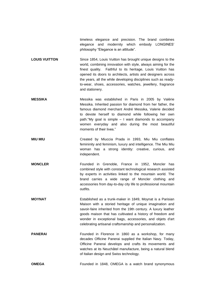timeless elegance and precision. The brand combines elegance and modernity which embody LONGINES' philosophy "Elegance is an attitude".

- **LOUIS VUITTON** Since 1854, Louis Vuitton has brought unique designs to the world, combining innovation with style, always aiming for the finest quality. Faithful to its heritage, Louis Vuitton has opened its doors to architects, artists and designers across the years, all the while developing disciplines such as readyto-wear, shoes, accessories, watches, jewellery, fragrance and stationery.
- **MESSIKA** Messika was established in Paris in 2005 by Valérie Messika. Inherited passion for diamond from her father, the famous diamond merchant André Messika, Valerie decided to devote herself to diamond while following her own path."My goal is simple – I want diamonds to accompany women everyday and also during the most beautiful moments of their lives."
- **MIU MIU** Created by Miuccia Prada in 1993, Miu Miu conflates femininity and feminism, luxury and intelligence. The Miu Miu woman has a strong identity: creative, curious, and independent.
- **MONCLER** Founded in Grenoble, France in 1952, Moncler has combined style with constant technological research assisted by experts in activities linked to the mountain world. The brand carries a wide range of Moncler clothing and accessories from day-to-day city life to professional mountain outfits.
- **MOYNAT** Established as a trunk-maker in 1849, Moynat is a Parisian Maison with a storied heritage of unique imagination and savoir-faire inherited from the 19th century. A luxury leather goods maison that has cultivated a history of freedom and wonder in exceptional bags, accessories, and objets d'art celebrating artisanal craftsmanship and personalization.
- **PANERAI** Founded in Florence in 1860 as a workshop, for many decades Officine Panerai supplied the Italian Navy. Today, Officine Panerai develops and crafts its movements and watches at its Neuchâtel manufacture, being a natural blend of Italian design and Swiss technology.
- **OMEGA** Founded in 1848, OMEGA is a watch brand synonymous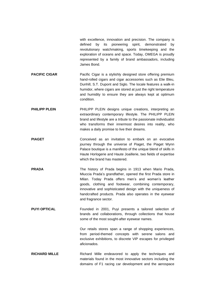with excellence, innovation and precision. The company is defined by its pioneering spirit, demonstrated by revolutionary watchmaking, sports timekeeping and the exploration of oceans and space. Today, OMEGA is proudly represented by a family of brand ambassadors, including James Bond.

**PACIFIC CIGAR** Pacific Cigar is a stylishly designed store offering premium hand-rolled cigars and cigar accessories such as Elie Bleu, Dunhill, S.T. Dupont and Siglo. The locale features a walk-in humidor, where cigars are stored at just the right temperature and humidity to ensure they are always kept at optimum condition.

**PHILIPP PLEIN** PHILIPP PLEIN designs unique creations, interpreting an extraordinary contemporary lifestyle. The PHILIPP PLEIN brand and lifestyle are a tribute to the passionate individualist who transforms their innermost desires into reality, who makes a daily promise to live their dreams.

- **PIAGET** Conceived as an invitation to embark on an evocative journey through the universe of Piaget, the Piaget Wynn Palace boutique is a manifesto of the unique blend of skills in Haute Horlogerie and Haute Joaillerie, two fields of expertise which the brand has mastered.
- **PRADA** The history of Prada begins in 1913 when Mario Prada, Miuccia Prada's grandfather, opened the first Prada store in Milan. Today Prada offers men's and women's leather goods, clothing and footwear, combining contemporary, innovative and sophisticated design with the uniqueness of handcrafted products. Prada also operates in the eyewear and fragrance sector.
- **PUYI OPTICAL** Founded in 2001, Puyi presents a tailored selection of brands and collaborations, through collections that house some of the most sought-after eyewear names.

Our retails stores span a range of shopping experiences, from period-themed concepts with serene salons and exclusive exhibitions, to discrete VIP escapes for privileged aficionados.

**RICHARD MILLE Richard Mille endeavored to apply the techniques and** materials found in the most innovative sectors including the domains of F1 racing car development and the aerospace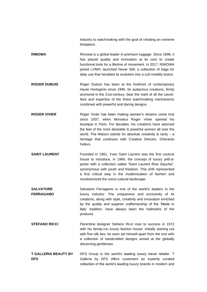industry to watchmaking with the goal of creating an extreme timepiece.

- **RIMOWA** Rimowa is a global leader in premium luggage. Since 1898, it has placed quality and innovation at its core to create functional tools for a lifetime of movement. In 2017, RIMOWA joined LVMH; launched Never Still, a collection of bags for daily use that heralded its evolution into a cult mobility brand.
- **ROGER DUBUIS** Roger Dubuis has been at the forefront of contemporary Haute Horlogerie since 1995. Its audacious creations, firmly anchored in the 21st-century, bear the mark of all the savoirfaire and expertise of the finest watchmaking mechanisms combined with powerful and daring designs.
- **ROGER VIVIER** Roger Vivier has been making women's dreams come true since 1937, when Monsieur Roger Vivier opened his boutique in Paris. For decades, his creations have adorned the feet of the most desirable & powerful women all over the world. The Maison stands for absolute creativity & rarity – a heritage that continues with Creative Director, Gherardo Felloni.
- **SAINT LAURENT** Founded in 1961, Yves Saint Laurent was the first couture house to introduce, in 1966, the concept of luxury prêt-àporter with a collection called "Saint Laurent Rive Gauche", synonymous with youth and freedom. This shift represented a first critical step in the modernization of fashion and revolutionized the socio-cultural landscape.
- **SALVATORE FERRAGAMO** Salvatore Ferragamo is one of the world's leaders in the luxury industry. The uniqueness and exclusivity of its creations, along with style, creativity and innovation enriched by the quality and superior craftsmanship of the 'Made in Italy' tradition, have always been the hallmarks of the products.
- **STEFANO RICCI** Florentine designer Stefano Ricci rose to success in 1972 with his family-run luxury fashion house. Initially starting out with fine silk ties, he soon set himself apart from the rest with a collection of handcrafted designs aimed at the globally discerning gentleman.
- **T GALLERIA BEAUTY BY DFS** DFS Group is the world's leading luxury travel retailer. T Galleria by DFS offers customers an expertly curated collection of the world's leading luxury brands in modern and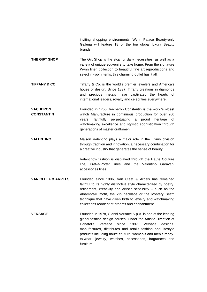inviting shopping environments. Wynn Palace Beauty-only Galleria will feature 18 of the top global luxury Beauty brands.

- **THE GIFT SHOP** The Gift Shop is the stop for daily necessities, as well as a variety of unique souvenirs to take home. From the signature Wynn linen collection to beautiful fine art reproductions and select in-room items, this charming outlet has it all.
- **TIFFANY & CO.** Tiffany & Co. is the world's premier jewelers and America's house of design. Since 1837, Tiffany creations in diamonds and precious metals have captivated the hearts of international leaders, royalty and celebrities everywhere.
- **VACHERON CONSTANTIN** Founded in 1755, Vacheron Constantin is the world's oldest watch Manufacture in continuous production for over 260 years, faithfully perpetuating a proud heritage of watchmaking excellence and stylistic sophistication through generations of master craftsmen.
- **VALENTINO** Maison Valentino plays a major role in the luxury division through tradition and innovation, a necessary combination for a creative industry that generates the sense of beauty.

Valentino's fashion is displayed through the Haute Couture line, Prêt-à-Porter lines and the Valentino Garavani accessories lines.

- **VAN CLEEF & ARPELS** Founded since 1906, Van Cleef & Arpels has remained faithful to its highly distinctive style characterized by poetry, refinement, creativity and artistic sensibility – such as the Alhambra® motif, the Zip necklace or the Mystery Set™ technique that have given birth to jewelry and watchmaking collections redolent of dreams and enchantment.
- **VERSACE** Founded in 1978, Gianni Versace S.p.A. is one of the leading global fashion design houses. Under the Artistic Direction of Donatella Versace since 1997, Versace designs, manufactures, distributes and retails fashion and lifestyle products including haute couture, women's and men's readyto-wear, jewelry, watches, accessories, fragrances and furniture.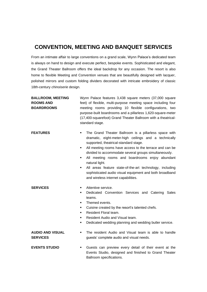# **CONVENTION, MEETING AND BANQUET SERVICES**

From an intimate affair to large conventions on a grand scale, Wynn Palace's dedicated team is always on hand to design and execute perfect, bespoke events. Sophisticated and elegant, the Grand Theater Ballroom offers the ideal backdrop for any occasion. The resort is also home to flexible Meeting and Convention venues that are beautifully designed with lacquer, polished mirrors and custom folding dividers decorated with intricate embroidery of classic 18th-century *chinoiserie* design.

| <b>BALLROOM, MEETING</b><br><b>ROOMS AND</b><br><b>BOARDROOMS</b> | Wynn Palace features 3,438 square meters (37,000 square<br>feet) of flexible, multi-purpose meeting space including four<br>meeting rooms providing 10 flexible configurations, two<br>purpose-built boardrooms and a pillarless 1,620-square-meter<br>(17,400-squarefoot) Grand Theater Ballroom with a theatrical-<br>standard stage.                                                                                                                                                                                            |
|-------------------------------------------------------------------|------------------------------------------------------------------------------------------------------------------------------------------------------------------------------------------------------------------------------------------------------------------------------------------------------------------------------------------------------------------------------------------------------------------------------------------------------------------------------------------------------------------------------------|
| <b>FEATURES</b>                                                   | The Grand Theater Ballroom is a pillarless space with<br>٠<br>dramatic, eight-meter-high ceilings and a technically<br>supported, theatrical-standard stage.<br>All meeting rooms have access to the terrace and can be<br>٠<br>divided to accommodate several groups simultaneously.<br>All meeting rooms and boardrooms enjoy abundant<br>٠<br>natural light.<br>All areas feature state-of-the-art technology, including<br>٠<br>sophisticated audio visual equipment and both broadband<br>and wireless internet capabilities. |
| <b>SERVICES</b>                                                   | Attentive service.<br>٠<br>Dedicated Convention Services and Catering<br><b>Sales</b><br>٠<br>teams.<br>Themed events.<br>٠<br>Cuisine created by the resort's talented chefs.<br>٠<br>Resident Floral team.<br>٠<br>Resident Audio and Visual team.<br>٠<br>Dedicated wedding planning and wedding butler service.<br>٠                                                                                                                                                                                                           |
| <b>AUDIO AND VISUAL</b><br><b>SERVICES</b>                        | The resident Audio and Visual team is able to handle<br>٠<br>guests' complete audio and visual needs.                                                                                                                                                                                                                                                                                                                                                                                                                              |
| <b>EVENTS STUDIO</b>                                              | Guests can preview every detail of their event at the<br>٠<br>Events Studio, designed and finished to Grand Theater<br>Ballroom specifications.                                                                                                                                                                                                                                                                                                                                                                                    |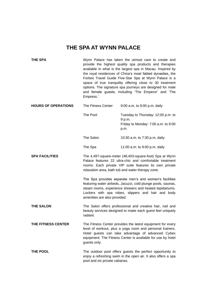# **THE SPA AT WYNN PALACE**

| <b>THE SPA</b>             | Wynn Palace has taken the utmost care to create and<br>provide the highest quality spa products and therapies<br>available in what is the largest spa in Macau. Inspired by<br>the royal residences of China's most fabled dynasties, the<br>Forbes Travel Guide Five-Star Spa at Wynn Palace is a<br>space of true tranquility offering close to 30 treatment<br>options. The signature spa journeys are designed for male<br>and female guests, including 'The Emperor' and 'The<br>Empress.' |                                                                                                                                                                                                                                             |
|----------------------------|-------------------------------------------------------------------------------------------------------------------------------------------------------------------------------------------------------------------------------------------------------------------------------------------------------------------------------------------------------------------------------------------------------------------------------------------------------------------------------------------------|---------------------------------------------------------------------------------------------------------------------------------------------------------------------------------------------------------------------------------------------|
| <b>HOURS OF OPERATIONS</b> | The Fitness Center                                                                                                                                                                                                                                                                                                                                                                                                                                                                              | 9:00 a.m. to 9:00 p.m. daily                                                                                                                                                                                                                |
|                            | The Pool                                                                                                                                                                                                                                                                                                                                                                                                                                                                                        | Tuesday to Thursday: 12:00 p.m. to<br>9 p.m.<br>Friday to Monday: 7:00 a.m. to 9:00<br>p.m.                                                                                                                                                 |
|                            | The Salon                                                                                                                                                                                                                                                                                                                                                                                                                                                                                       | 10:30 a.m. to 7:30 p.m. daily                                                                                                                                                                                                               |
|                            | The Spa                                                                                                                                                                                                                                                                                                                                                                                                                                                                                         | 11:00 a.m. to 9:00 p.m. daily                                                                                                                                                                                                               |
| <b>SPA FACILITIES</b>      |                                                                                                                                                                                                                                                                                                                                                                                                                                                                                                 | The 4,497-square-meter (48,403-square-foot) Spa at Wynn<br>Palace features 22 ultra-chic and comfortable treatment<br>rooms. Each private VIP suite features its own private<br>relaxation area, bath tub and water therapy zone.           |
|                            | amenities are also provided.                                                                                                                                                                                                                                                                                                                                                                                                                                                                    | The Spa provides separate men's and women's facilities<br>featuring water airbeds, Jacuzzi, cold plunge pools, saunas,<br>steam rooms, experience showers and heated tepidariums.<br>Lockers with spa robes, slippers and hair and body     |
| <b>THE SALON</b>           | radiant.                                                                                                                                                                                                                                                                                                                                                                                                                                                                                        | The Salon offers professional and creative hair, nail and<br>beauty services designed to make each guest feel uniquely                                                                                                                      |
| THE FITNESS CENTER         | guests only.                                                                                                                                                                                                                                                                                                                                                                                                                                                                                    | The Fitness Center provides the latest equipment for every<br>level of workout, plus a yoga room and personal trainers.<br>Hotel guests can take advantage of advanced Cybex<br>equipment. The Fitness Center is available for use by hotel |
| THE POOL                   | pool and six private cabanas.                                                                                                                                                                                                                                                                                                                                                                                                                                                                   | The outdoor pool offers guests the perfect opportunity to<br>enjoy a refreshing swim in the open air. It also offers a spa                                                                                                                  |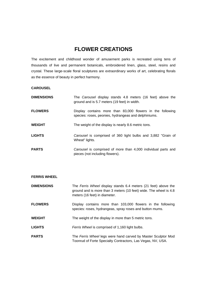# **FLOWER CREATIONS**

The excitement and childhood wonder of amusement parks is recreated using tens of thousands of live and permanent botanicals, embroidered linen, glass, steel, resins and crystal. These large-scale floral sculptures are extraordinary works of art, celebrating florals as the essence of beauty in perfect harmony.

### **CAROUSEL**

| <b>DIMENSIONS</b> | The Carousel display stands 4.8 meters (16 feet) above the<br>ground and is 5.7 meters (19 feet) in width.         |
|-------------------|--------------------------------------------------------------------------------------------------------------------|
| <b>FLOWERS</b>    | Display contains more than 83,000 flowers in the following<br>species: roses, peonies, hydrangeas and delphiniums. |
| <b>WEIGHT</b>     | The weight of the display is nearly 8.6 metric tons.                                                               |
| <b>LIGHTS</b>     | Carousel is comprised of 360 light bulbs and 3,882 "Grain of<br>Wheat" lights.                                     |
| <b>PARTS</b>      | Carousel is comprised of more than 4,000 individual parts and<br>pieces (not including flowers).                   |

| <b>DIMENSIONS</b> | The Ferris Wheel display stands 6.4 meters (21 feet) above the<br>ground and is more than 3 meters (10 feet) wide. The wheel is 4.8<br>meters (16 feet) in diameter. |
|-------------------|----------------------------------------------------------------------------------------------------------------------------------------------------------------------|
| <b>FLOWERS</b>    | Display contains more than 103,000 flowers in the following<br>species: roses, hydrangeas, spray roses and button mums.                                              |
| <b>WEIGHT</b>     | The weight of the display in more than 5 metric tons.                                                                                                                |
| <b>LIGHTS</b>     | Ferris Wheel is comprised of 1,160 light bulbs.                                                                                                                      |
| <b>PARTS</b>      | The Ferris Wheel legs were hand carved by Master Sculptor Mod<br>Toonrud of Forte Specialty Contractors, Las Vegas, NV, USA.                                         |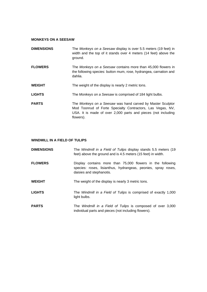### **MONKEYS ON A SEESAW**

| <b>DIMENSIONS</b> | The Monkeys on a Seesaw display is over 5.5 meters (19 feet) in<br>width and the top of it stands over 4 meters (14 feet) above the<br>ground.                                                         |
|-------------------|--------------------------------------------------------------------------------------------------------------------------------------------------------------------------------------------------------|
| <b>FLOWERS</b>    | The Monkeys on a Seesaw contains more than 45,000 flowers in<br>the following species: button mum, rose, hydrangea, carnation and<br>dahlia.                                                           |
| <b>WEIGHT</b>     | The weight of the display is nearly 2 metric tons.                                                                                                                                                     |
| <b>LIGHTS</b>     | The Monkeys on a Seesaw is comprised of 184 light bulbs.                                                                                                                                               |
| <b>PARTS</b>      | The Monkeys on a Seesaw was hand carved by Master Sculptor<br>Mod Toonrud of Forte Specialty Contractors, Las Vegas, NV,<br>USA. It is made of over 2,000 parts and pieces (not including<br>flowers). |

### **WINDMILL IN A FIELD OF TULIPS**

| <b>DIMENSIONS</b> | The Windmill in a Field of Tulips display stands 5.5 meters (19)<br>feet) above the ground and is 4.5 meters (15 feet) in width.                        |
|-------------------|---------------------------------------------------------------------------------------------------------------------------------------------------------|
| <b>FLOWERS</b>    | Display contains more than 75,000 flowers in the following<br>species: roses, lisianthus, hydrangeas, peonies, spray roses,<br>daisies and stephanotis. |
| <b>WEIGHT</b>     | The weight of the display is nearly 3 metric tons.                                                                                                      |
| <b>LIGHTS</b>     | The Windmill in a Field of Tulips is comprised of exactly 1,000<br>light bulbs.                                                                         |
| <b>PARTS</b>      | The Windmill in a Field of Tulips is composed of over 3,000<br>individual parts and pieces (not including flowers).                                     |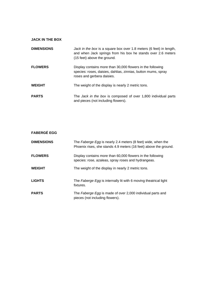| <b>JACK IN THE BOX</b> |                                                                                                                                                                    |
|------------------------|--------------------------------------------------------------------------------------------------------------------------------------------------------------------|
| <b>DIMENSIONS</b>      | Jack in the box is a square box over 1.8 meters (6 feet) in length,<br>and when Jack springs from his box he stands over 2.6 meters<br>(15 feet) above the ground. |
| <b>FLOWERS</b>         | Display contains more than 30,000 flowers in the following<br>species: roses, daisies, dahlias, zinnias, button mums, spray<br>roses and gerbera daisies.          |
| <b>WEIGHT</b>          | The weight of the display is nearly 2 metric tons.                                                                                                                 |
| <b>PARTS</b>           | The Jack in the box is composed of over 1,800 individual parts<br>and pieces (not including flowers).                                                              |

| <b>FABERGÉ EGG</b> |                                                                                                                                  |
|--------------------|----------------------------------------------------------------------------------------------------------------------------------|
| <b>DIMENSIONS</b>  | The Faberge Egg is nearly 2.4 meters (8 feet) wide, when the<br>Phoenix rises, she stands 4.9 meters (16 feet) above the ground. |
| <b>FLOWERS</b>     | Display contains more than 60,000 flowers in the following<br>species: rose, azaleas, spray roses and hydrangeas.                |
| <b>WEIGHT</b>      | The weight of the display in nearly 2 metric tons.                                                                               |
| <b>LIGHTS</b>      | The Faberge Egg is internally lit with 6 moving theatrical light<br>fixtures.                                                    |
| <b>PARTS</b>       | The Faberge Egg is made of over 2,000 individual parts and<br>pieces (not including flowers).                                    |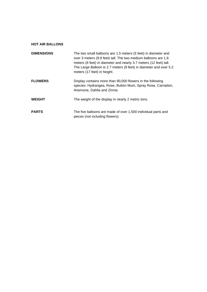### **HOT AIR BALLONS**

| <b>DIMENSIONS</b> | The two small balloons are 1.5 meters (5 feet) in diameter and<br>over 3 meters (9.8 feet) tall. The two medium balloons are 1.8<br>meters (6 feet) in diameter and nearly 3.7 meters (12 feet) tall.<br>The Large Balloon is 2.7 meters (9 feet) in diameter and over 5.2<br>meters (17 feet) in height. |
|-------------------|-----------------------------------------------------------------------------------------------------------------------------------------------------------------------------------------------------------------------------------------------------------------------------------------------------------|
| <b>FLOWERS</b>    | Display contains more than 90,000 flowers in the following<br>species: Hydrangea, Rose, Button Mum, Spray Rose, Carnation,<br>Anemone, Dahlia and Zinnia                                                                                                                                                  |
| <b>WEIGHT</b>     | The weight of the display in nearly 2 metric tons.                                                                                                                                                                                                                                                        |
| <b>PARTS</b>      | The five balloons are made of over 1,500 individual parts and<br>pieces (not including flowers)                                                                                                                                                                                                           |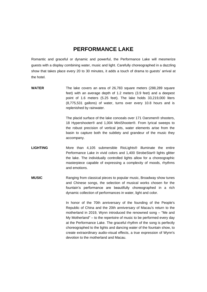# **PERFORMANCE LAKE**

Romantic and graceful or dynamic and powerful, the Performance Lake will mesmerize guests with a display combining water, music and light. Carefully choreographed in a dazzling show that takes place every 20 to 30 minutes, it adds a touch of drama to guests' arrival at the hotel.

**WATER** The lake covers an area of 26,783 square meters (288,289 square feet) with an average depth of 1.2 meters (3.9 feet) and a deepest point of 1.6 meters (5.25 feet). The lake holds 33,219,000 liters (8,775,531 gallons) of water, turns over every 10.8 hours and is replenished by rainwater.

> The placid surface of the lake conceals over 171 Oarsmen® shooters, 18 Hypershooter® and 1,004 MiniShooter®. From lyrical sweeps to the robust precision of vertical jets, water elements arise from the basin to capture both the subtlety and grandeur of the music they accompany.

- **LIGHTING** More than 4,105 submersible RioLights® illuminate the entire Performance Lake in vivid colors and 1,400 StrobeStar® lights glitter the lake. The individually controlled lights allow for a choreographic masterpiece capable of expressing a complexity of moods, rhythms and emotions.
- **MUSIC** Ranging from classical pieces to popular music, Broadway show tunes and Chinese songs, the selection of musical works chosen for the fountain's performance are beautifully choreographed in a rich dynamic collection of performances in water, light and color.

In honor of the 70th anniversary of the founding of the People's Republic of China and the 20th anniversary of Macau's return to the motherland in 2019, Wynn introduced the renowned song – "Me and My Motherland" – to the repertoire of music to be performed every day at the Performance Lake. The graceful rhythm of the song is perfectly choreographed to the lights and dancing water of the fountain show, to create extraordinary audio-visual effects, a true expression of Wynn's devotion to the motherland and Macau.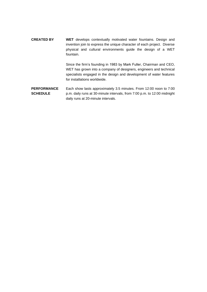**CREATED BY WET** develops contextually motivated water fountains. Design and invention join to express the unique character of each project. Diverse physical and cultural environments guide the design of a WET fountain.

> Since the firm's founding in 1983 by Mark Fuller, Chairman and CEO, WET has grown into a company of designers, engineers and technical specialists engaged in the design and development of water features for installations worldwide.

**PERFORMANCE SCHEDULE** Each show lasts approximately 3.5 minutes. From 12:00 noon to 7:00 p.m. daily runs at 30-minute intervals, from 7:00 p.m. to 12:00 midnight daily runs at 20-minute intervals.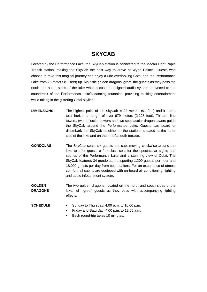# **SKYCAB**

Located by the Performance Lake, the SkyCab station is connected to the Macau Light Rapid Transit station, making the SkyCab the best way to arrive at Wynn Palace. Guests who choose to take this magical journey can enjoy a ride overlooking Cotai and the Performance Lake from 28 meters (91 feet) up. Majestic golden dragons 'greet' the guests as they pass the north and south sides of the lake while a custom-designed audio system is synced to the soundtrack of the Performance Lake's dancing fountains, providing exciting entertainment while taking in the glittering Cotai skyline.

- **DIMENSIONS** The highest point of the SkyCab is 28 meters (91 feet) and it has a total horizontal length of over 679 meters (2,228 feet). Thirteen line towers, two deflection towers and two spectacular dragon towers guide the SkyCab around the Performance Lake. Guests can board or disembark the SkyCab at either of the stations situated at the outer side of the lake and on the hotel's south terrace.
- **GONDOLAS** The SkyCab seats six guests per cab, moving clockwise around the lake to offer guests a first-class seat for the spectacular sights and sounds of the Performance Lake and a stunning view of Cotai. The SkyCab features 34 gondolas, transporting 1,200 guests per hour and 18,000 guests per day from both stations. For an experience of utmost comfort, all cabins are equipped with on-board air conditioning, lighting and audio infotainment system.
- **GOLDEN DRAGONS** The two golden dragons, located on the north and south sides of the lake, will 'greet' guests as they pass with accompanying lighting effects.
- **SCHEDULE ■** Sunday to Thursday: 4:00 p.m. to 10:00 p.m.
	- Friday and Saturday: 4:00 p.m. to 12:00 a.m.
	- Each round-trip takes 10 minutes.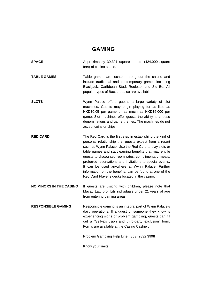## **GAMING**

- **SPACE** Approximately 39,391 square meters (424,000 square feet) of casino space. **TABLE GAMES** Table games are located throughout the casino and include traditional and contemporary games including Blackjack, Caribbean Stud, Roulette, and Sic Bo. All popular types of Baccarat also are available. **SLOTS** Wynn Palace offers guests a large variety of slot machines. Guests may begin playing for as little as HKD\$0.05 per game or as much as HKD\$6,000 per game. Slot machines offer guests the ability to choose denominations and game themes. The machines do not accept coins or chips. **RED CARD** The Red Card is the first step in establishing the kind of
- personal relationship that guests expect from a resort such as Wynn Palace. Use the Red Card to play slots or table games and start earning benefits that may entitle guests to discounted room rates, complimentary meals, preferred reservations and invitations to special events. It can be used anywhere at Wynn Palace. Further information on the benefits, can be found at one of the Red Card Player's desks located in the casino.
- **NO MINORS IN THE CASINO** If guests are visiting with children, please note that Macau Law prohibits individuals under 21 years of age from entering gaming areas.
- **RESPONSIBLE GAMING** Responsible gaming is an integral part of Wynn Palace's daily operations. If a guest or someone they know is experiencing signs of problem gambling, guests can fill out a "Self-exclusion and third-party exclusion" form. Forms are available at the Casino Cashier.

Problem Gambling Help Line: (853) 2832 3998

Know your limits.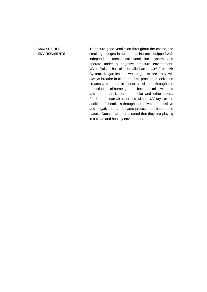### **SMOKE-FREE ENVIRONMENTS**

To ensure good ventilation throughout the casino, the smoking lounges inside the casino are equipped with independent mechanical ventilation system and operate under a negative pressure environment. Wynn Palace has also installed an Ionair® Fresh Air System. Regardless of where guests are, they will always breathe in clean air. The process of ionization creates a comfortable indoor air climate through the reduction of airborne germs, bacteria, mildew, mold and the neutralization of smoke and other odors. Fresh and clean air is formed without UV rays or the addition of chemicals through the activation of positive and negative ions, the same process that happens in nature. Guests can rest assured that they are playing in a clean and healthy environment.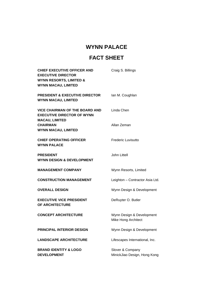# **WYNN PALACE**

# **FACT SHEET**

| <b>CHIEF EXECUTIVE OFFICER AND</b><br><b>EXECUTIVE DIRECTOR</b><br><b>WYNN RESORTS, LIMITED &amp;</b><br><b>WYNN MACAU, LIMITED</b> | Craig S. Billings                                |
|-------------------------------------------------------------------------------------------------------------------------------------|--------------------------------------------------|
| <b>PRESIDENT &amp; EXECUTIVE DIRECTOR</b><br><b>WYNN MACAU, LIMITED</b>                                                             | lan M. Coughlan                                  |
| <b>VICE CHAIRMAN OF THE BOARD AND</b><br><b>EXECUTIVE DIRECTOR OF WYNN</b><br><b>MACAU, LIMITED</b>                                 | Linda Chen                                       |
| <b>CHAIRMAN</b><br><b>WYNN MACAU, LIMITED</b>                                                                                       | Allan Zeman                                      |
| <b>CHIEF OPERATING OFFICER</b><br><b>WYNN PALACE</b>                                                                                | Frederic Luvisutto                               |
| <b>PRESIDENT</b><br><b>WYNN DESIGN &amp; DEVELOPMENT</b>                                                                            | John Littell                                     |
| <b>MANAGEMENT COMPANY</b>                                                                                                           | Wynn Resorts, Limited                            |
| <b>CONSTRUCTION MANAGEMENT</b>                                                                                                      | Leighton - Contractor Asia Ltd.                  |
| <b>OVERALL DESIGN</b>                                                                                                               | Wynn Design & Development                        |
| <b>EXECUTIVE VICE PRESIDENT</b><br>OF ARCHITECTURE                                                                                  | DeRuyter O. Butler                               |
| <b>CONCEPT ARCHITECTURE</b>                                                                                                         | Wynn Design & Development<br>Mike Hong Architect |
| PRINCIPAL INTERIOR DESIGN                                                                                                           | Wynn Design & Development                        |
| <b>LANDSCAPE ARCHITECTURE</b>                                                                                                       | Lifescapes International, Inc.                   |
| <b>BRAND IDENTITY &amp; LOGO</b><br><b>DEVELOPMENT</b>                                                                              | Slover & Company<br>MinickJiao Design, Hong Kong |